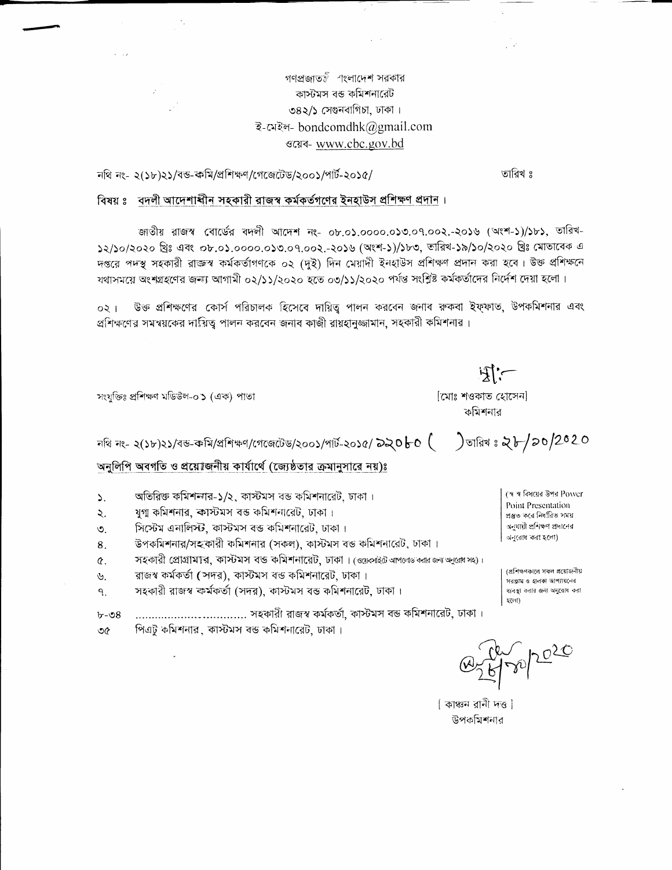গণপ্রজাতই াংলাদেশ সরকার কাস্টমস বন্ত কমিশনারেট ৩৪২/১ সেগুনবাগিচা, ঢাকা। ই-মেইল- bondcomdhk@gmail.com उत्सव- www.cbc.gov.bd

 $\Delta \sim 10^6$ 

নথি নং- ২(১৮)২১/বন্ড-কমি/প্রশিক্ষণ/গেজেটেড/২০০১/পার্ট-২০১৫/

তারিখ ঃ

 $\exists$   $\mathbb{R}$ 

) তারিখ ঃ ২৮/১০/2020

[মোঃ শওকাত হোসেন] কমিশনার

## বিষয় ঃ বদলী আদেশাৰ্ষীন সহকারী রাজস্ব কর্মকর্তগণের ইনহাউস প্রশিক্ষণ প্রদান।

জাতীয় রাজস্ব বোর্ডের বদলী আদেশ নং- ০৮.০১.০০০০.০১৩.০৭.০০২.-২০১৬ (অংশ-১)/১৮১, তারিখ-১২/১০/২০২০ খ্রিঃ এবং ০৮.০১.০০০০.০১৩.০৭.০০২.-২০১৬ (অংশ-১)/১৮৩, ভারিখ-১৯/১০/২০২০ খ্রিঃ মোতাবেক এ দপ্তরে পদস্থ সহকারী রাজ্ঞস্ব কর্মকর্তাগণকে ০২ (দুই) দিন মেয়াদী ইনহাউস প্রশিক্ষণ প্রদান করা হবে। উক্ত প্রশিক্ষনে যথাসময়ে অংশগ্রহণের জন্যা আগামী ০২/১১/২০২০ হতে ০৩/১১/২০২০ পর্যন্ত সংশ্লিষ্ট কর্মকর্তাদের নির্দেশ দেয়া হলো।

উক্ত প্রশিক্ষণের কোর্স পরিচালক হিসেবে দায়িত্ব পালন করবেন জনাব রুকবা ইফ্ফাত, উপকমিশনার এবং  $021$ প্রশিক্ষণের সমন্বয়কের দায়িত্ব পালন করবেন জনাব কাজী রায়হানুজ্জামান, সহকারী কমিশনার।

সংযুক্তিঃ প্ৰশিক্ষণ মডিউল-০১ (এক) পাতা

 $b - 98$ 

নথি নং- ২(১৮)২১/বন্ড-কমি/প্ৰশিক্ষণ/গেজেটেড/২০০১/পাৰ্ট-২০১৫/ **৯২০** $\mathsf{b}\mathsf{c}$  **(** 

অনুলিপি অবগতি ও প্রয়োজনীয় কার্যার্থে (জ্যেষ্ঠতার ক্রমানুসারে নয়)ঃ

- অতিরিক্ত কমিশন্যার-১/২, কাস্টমস বন্ত কমিশনারেট, ঢাকা।  $\mathcal{L}$
- যুগা কমিশনার, ক্রাস্টমস বন্ত কমিশনারেট, ঢাকা।  $\lambda$ .
- সিস্টেম এনালিস্ট, কাস্টমস বন্ত কমিশনারেট, ঢাকা। ৩
- উপকমিশনার/সহকোরী কমিশনার (সকল), কাস্টমস বস্ত কমিশনারেট, ঢাকা । 8.
- সহকারী প্রোগ্রামার, কাস্টমস বন্ড কমিশনারেট, ঢাকা। (ওয়েকাইট আপলোড কার জন্য অনুরোধ সং)।  $\alpha$ .
- রাজস্ব কর্মকর্তা (সদর), কাস্টমস বড কমিশনারেট, ঢাকা। Ý.
- সহকারী রাজস্ব কর্মকর্তা (সদর), কাস্টমস বন্ত কমিশনারেট, ঢাকা। ٩.

...................................... সহকারী রাজস্ব কর্মকর্তা, কাস্টমস বন্ড কমিশনারেট, ঢাকা।

পিএটু কমিশনার, কাস্টমস বন্ত কমিশনারেট, ঢাকা। ৩৫

(স্ব স্ব বিষয়ের উপর Power Point Presentation প্ৰস্তুত করে নির্ধারিত সময় অনুযায়ী প্ৰশিক্ষণ প্ৰদানের অনুরোধ করা হলো)

(প্ৰশিক্ষণকালে সকল প্ৰয়োজনীয় সরপ্তাম ও হালকা আপ্যায়নের ব্যবস্থা করার জন্য অনরোধ করা হলো)

| কাঞ্চন রানী দত্ত | উপকমিশনার